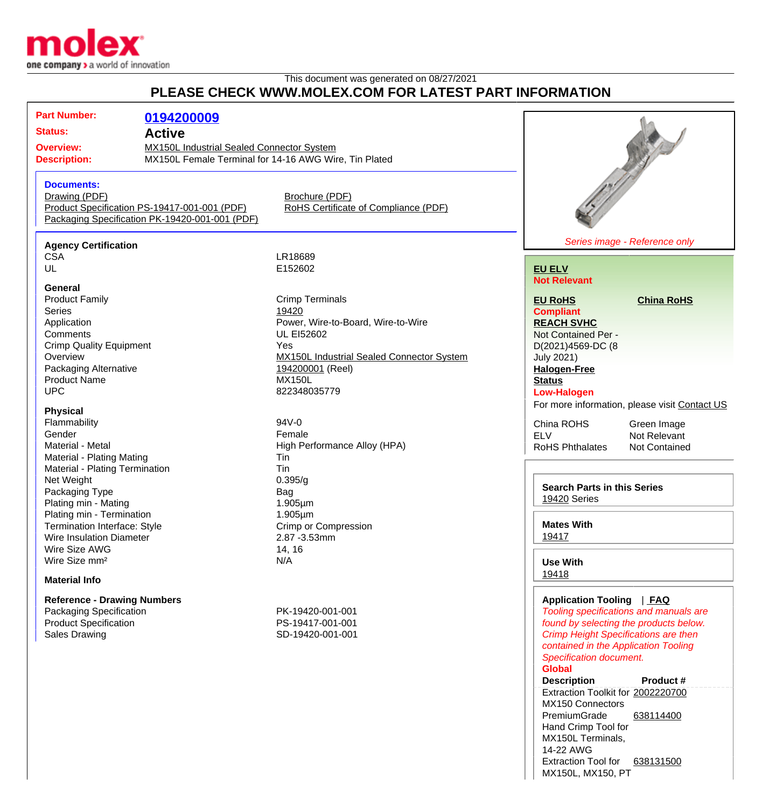

### This document was generated on 08/27/2021 **PLEASE CHECK WWW.MOLEX.COM FOR LATEST PART INFORMATION**

| PLEASE CHECK WWW.MOLEX.COM FOR LATEST PART INFORMATION                                                                                                                                                                                                                                                                                    |                                                                                                |                                                                                                                                                                                                     |                                                                                                                                                                                        |                                                                    |
|-------------------------------------------------------------------------------------------------------------------------------------------------------------------------------------------------------------------------------------------------------------------------------------------------------------------------------------------|------------------------------------------------------------------------------------------------|-----------------------------------------------------------------------------------------------------------------------------------------------------------------------------------------------------|----------------------------------------------------------------------------------------------------------------------------------------------------------------------------------------|--------------------------------------------------------------------|
| <b>Part Number:</b><br><b>Status:</b><br><b>Overview:</b><br><b>Description:</b>                                                                                                                                                                                                                                                          | 0194200009<br><b>Active</b><br><b>MX150L Industrial Sealed Connector System</b>                | MX150L Female Terminal for 14-16 AWG Wire, Tin Plated                                                                                                                                               |                                                                                                                                                                                        |                                                                    |
| <b>Documents:</b><br>Drawing (PDF)                                                                                                                                                                                                                                                                                                        | Product Specification PS-19417-001-001 (PDF)<br>Packaging Specification PK-19420-001-001 (PDF) | Brochure (PDF)<br>RoHS Certificate of Compliance (PDF)                                                                                                                                              |                                                                                                                                                                                        |                                                                    |
| <b>Agency Certification</b>                                                                                                                                                                                                                                                                                                               |                                                                                                |                                                                                                                                                                                                     |                                                                                                                                                                                        | Series image - Reference only                                      |
| <b>CSA</b><br>UL<br>General                                                                                                                                                                                                                                                                                                               |                                                                                                | LR18689<br>E152602                                                                                                                                                                                  | <b>EU ELV</b><br><b>Not Relevant</b>                                                                                                                                                   |                                                                    |
| <b>Product Family</b><br><b>Series</b><br>Application<br>Comments<br><b>Crimp Quality Equipment</b><br>Overview<br>Packaging Alternative<br><b>Product Name</b><br><b>UPC</b>                                                                                                                                                             |                                                                                                | <b>Crimp Terminals</b><br>19420<br>Power, Wire-to-Board, Wire-to-Wire<br><b>UL EI52602</b><br>Yes<br>MX150L Industrial Sealed Connector System<br>194200001 (Reel)<br><b>MX150L</b><br>822348035779 | <b>EU RoHS</b><br><b>Compliant</b><br><b>REACH SVHC</b><br>Not Contained Per -<br>D(2021)4569-DC (8<br><b>July 2021)</b><br><b>Halogen-Free</b><br><b>Status</b><br><b>Low-Halogen</b> | <b>China RoHS</b><br>For more information, please visit Contact US |
| <b>Physical</b><br>Flammability<br>Gender<br>Material - Metal<br><b>Material - Plating Mating</b><br><b>Material - Plating Termination</b><br>Net Weight<br>Packaging Type<br>Plating min - Mating<br>Plating min - Termination<br>Termination Interface: Style<br>Wire Insulation Diameter<br>Wire Size AWG<br>Wire Size mm <sup>2</sup> |                                                                                                | 94V-0<br>Female<br>High Performance Alloy (HPA)<br>Tin<br>Tin<br>0.395/g<br>Bag<br>1.905µm<br>$1.905 \mu m$<br>Crimp or Compression<br>2.87 - 3.53mm<br>14, 16<br>N/A                               | China ROHS<br><b>ELV</b><br><b>RoHS Phthalates</b><br><b>Search Parts in this Series</b><br>19420 Series<br><b>Mates With</b><br>19417<br><b>Use With</b><br>19418                     | Green Image<br>Not Relevant<br><b>Not Contained</b>                |
| <b>Material Info</b>                                                                                                                                                                                                                                                                                                                      |                                                                                                |                                                                                                                                                                                                     |                                                                                                                                                                                        |                                                                    |

#### **Reference - Drawing Numbers** Packaging Specification **PK-19420-001-001** Product Specification PS-19417-001-001 Sales Drawing SD-19420-001-001

## **Application Tooling** | **[FAQ](http://www.molex.com/cmc_upload/0/000/0-8/783/tooling_faq.html)**

Tooling specifications and manuals are found by selecting the products below. Crimp Height Specifications are then contained in the Application Tooling Specification document. **Global**

#### **Description Product #**

Extraction Toolkit for [2002220700](http://www.molex.com/molex/products/datasheet.jsp?part=active/2002220700_APPLICATION_TOOLIN.xml) MX150 Connectors PremiumGrade Hand Crimp Tool for MX150L Terminals, 14-22 AWG [638114400](http://www.molex.com/molex/products/datasheet.jsp?part=active/0638114400_APPLICATION_TOOLIN.xml) Extraction Tool for [638131500](http://www.molex.com/molex/products/datasheet.jsp?part=active/0638131500_APPLICATION_TOOLIN.xml) MX150L, MX150, PT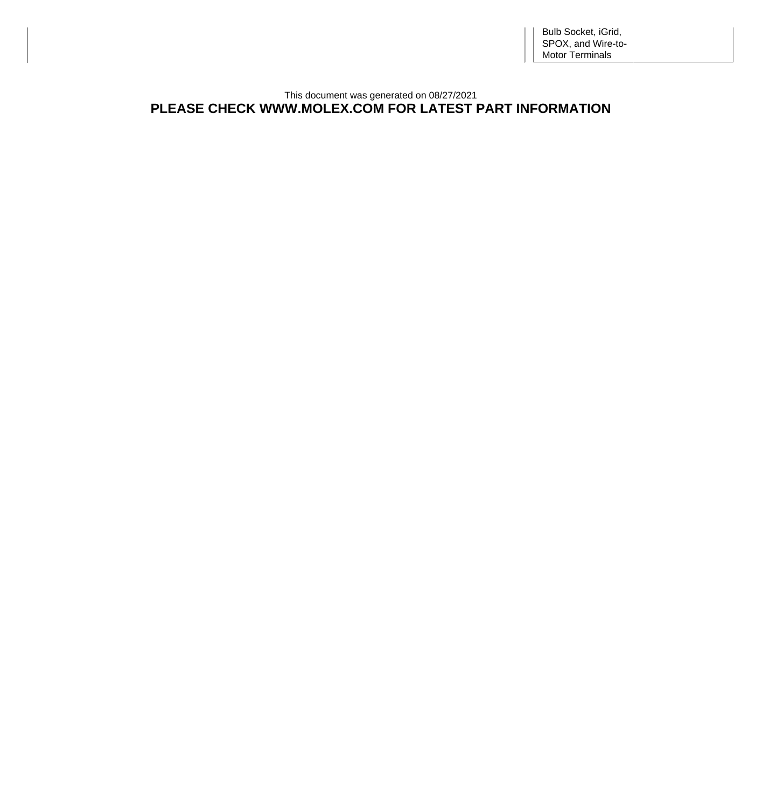This document was generated on 08/27/2021 **PLEASE CHECK WWW.MOLEX.COM FOR LATEST PART INFORMATION**